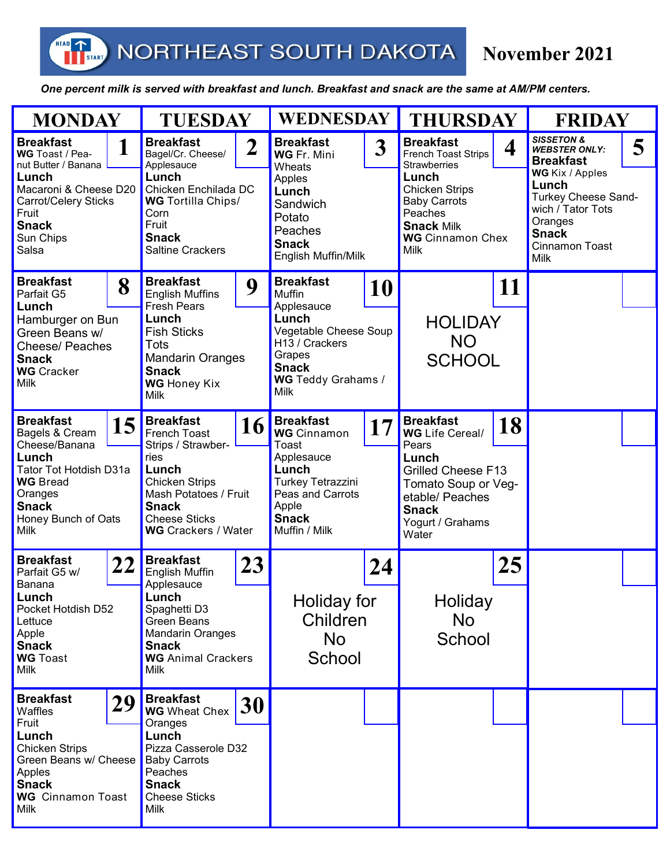HEAD

## **November 2021**

 *One percent milk is served with breakfast and lunch. Breakfast and snack are the same at AM/PM centers.* 

| <b>MONDAY</b>                                                                                                                                                             |    | <b>TUESDAY</b>                                                                                                                                                                                        |    | <b>WEDNESDAY</b>                                                                                                                                                  |    | <b>THURSDAY</b>                                                                                                                                                                                 |    | <b>FRIDAY</b>                                                                                                                                                                                                            |  |
|---------------------------------------------------------------------------------------------------------------------------------------------------------------------------|----|-------------------------------------------------------------------------------------------------------------------------------------------------------------------------------------------------------|----|-------------------------------------------------------------------------------------------------------------------------------------------------------------------|----|-------------------------------------------------------------------------------------------------------------------------------------------------------------------------------------------------|----|--------------------------------------------------------------------------------------------------------------------------------------------------------------------------------------------------------------------------|--|
| <b>Breakfast</b><br>1<br>WG Toast / Pea-<br>nut Butter / Banana<br>Lunch<br>Macaroni & Cheese D20<br>Carrot/Celery Sticks<br>Fruit<br><b>Snack</b><br>Sun Chips<br>Salsa  |    | <b>Breakfast</b><br>$\overline{2}$<br>Bagel/Cr. Cheese/<br>Applesauce<br>Lunch<br>Chicken Enchilada DC<br><b>WG</b> Tortilla Chips/<br>Corn<br>Fruit<br><b>Snack</b><br><b>Saltine Crackers</b>       |    | <b>Breakfast</b><br>3 <sup>1</sup><br>WG Fr. Mini<br>Wheats<br>Apples<br>Lunch<br>Sandwich<br>Potato<br>Peaches<br><b>Snack</b><br>English Muffin/Milk            |    | <b>Breakfast</b><br>4<br>French Toast Strips<br><b>Strawberries</b><br>Lunch<br><b>Chicken Strips</b><br><b>Baby Carrots</b><br>Peaches<br><b>Snack Milk</b><br><b>WG</b> Cinnamon Chex<br>Milk |    | <b>SISSETON &amp;</b><br>5<br><b>WEBSTER ONLY:</b><br><b>Breakfast</b><br>WG Kix / Apples<br>Lunch<br><b>Turkey Cheese Sand-</b><br>wich / Tator Tots<br>Oranges<br><b>Snack</b><br><b>Cinnamon Toast</b><br><b>Milk</b> |  |
| <b>Breakfast</b><br>8<br>Parfait G5<br>Lunch<br>Hamburger on Bun<br>Green Beans w/<br><b>Cheese/ Peaches</b><br><b>Snack</b><br><b>WG</b> Cracker<br>Milk                 |    | <b>Breakfast</b><br>9<br><b>English Muffins</b><br>Fresh Pears<br>Lunch<br><b>Fish Sticks</b><br><b>Tots</b><br><b>Mandarin Oranges</b><br><b>Snack</b><br><b>WG</b> Honey Kix<br>Milk                |    | <b>Breakfast</b><br>10<br>Muffin<br>Applesauce<br>Lunch<br>Vegetable Cheese Soup<br>H13 / Crackers<br>Grapes<br><b>Snack</b><br>WG Teddy Grahams /<br><b>Milk</b> |    | 11<br><b>HOLIDAY</b><br><b>NO</b><br><b>SCHOOL</b>                                                                                                                                              |    |                                                                                                                                                                                                                          |  |
| <b>Breakfast</b><br>15<br>Bagels & Cream<br>Cheese/Banana<br>Lunch<br>Tator Tot Hotdish D31a<br><b>WG Bread</b><br>Oranges<br><b>Snack</b><br>Honey Bunch of Oats<br>Milk |    | <b>Breakfast</b><br>16<br>French Toast<br>Strips / Strawber-<br>ries<br>Lunch<br><b>Chicken Strips</b><br>Mash Potatoes / Fruit<br><b>Snack</b><br><b>Cheese Sticks</b><br><b>WG</b> Crackers / Water |    | <b>Breakfast</b><br><b>WG</b> Cinnamon<br>Toast<br>Applesauce<br>Lunch<br><b>Turkey Tetrazzini</b><br>Peas and Carrots<br>Apple<br><b>Snack</b><br>Muffin / Milk  | 17 | <b>Breakfast</b><br><b>WG</b> Life Cereal/<br>Pears<br>Lunch<br><b>Grilled Cheese F13</b><br>Tomato Soup or Veg-<br>etable/ Peaches<br><b>Snack</b><br>Yogurt / Grahams<br>Water                | 18 |                                                                                                                                                                                                                          |  |
| <b>Breakfast</b><br>Parfait G5 w/<br><b>Banana</b><br>Lunch<br>Pocket Hotdish D52<br>Lettuce<br>Apple<br><b>Snack</b><br><b>WG</b> Toast<br>Milk                          | 22 | <b>Breakfast</b><br>English Muffin<br>Applesauce<br>Lunch<br>Spaghetti D3<br>Green Beans<br><b>Mandarin Oranges</b><br><b>Snack</b><br><b>WG</b> Animal Crackers<br>Milk                              | 23 | Holiday for<br>Children<br>No<br>School                                                                                                                           | 24 | Holiday<br>No<br>School                                                                                                                                                                         | 25 |                                                                                                                                                                                                                          |  |
| <b>Breakfast</b><br>Waffles<br>Fruit<br>Lunch<br><b>Chicken Strips</b><br>Green Beans w/ Cheese<br>Apples<br><b>Snack</b><br><b>WG</b> Cinnamon Toast<br>Milk             | 29 | <b>Breakfast</b><br><b>WG</b> Wheat Chex<br>Oranges<br>Lunch<br>Pizza Casserole D32<br><b>Baby Carrots</b><br>Peaches<br><b>Snack</b><br><b>Cheese Sticks</b><br>Milk                                 | 30 |                                                                                                                                                                   |    |                                                                                                                                                                                                 |    |                                                                                                                                                                                                                          |  |